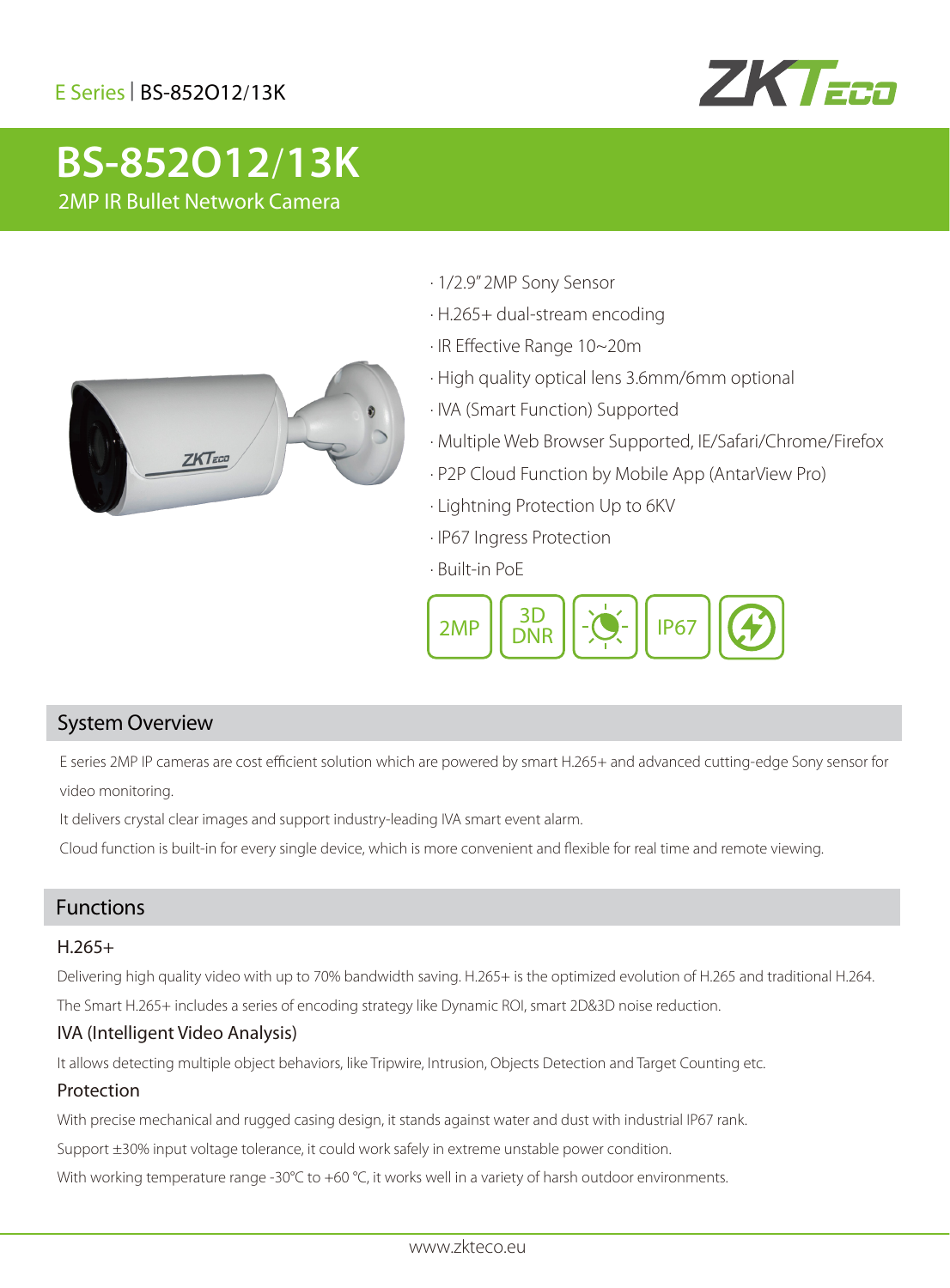### E Series| BS-852O12/13K



# **2MP IR BS-852O12/13K** 2MP IR Bullet Network Camera



- · 1/2.9" 2MP Sony Sensor
- · H.265+ dual-stream encoding
- · IR Effective Range 10~20m
- · High quality optical lens 3.6mm/6mm optional
- · IVA (Smart Function) Supported
- · Multiple Web Browser Supported, IE/Safari/Chrome/Firefox
- · P2P Cloud Function by Mobile App (AntarView Pro)
- · Lightning Protection Up to 6KV
- · IP67 Ingress Protection
- · Built-in PoE



### System Overview

E series 2MP IP cameras are cost efficient solution which are powered by smart H.265+ and advanced cutting-edge Sony sensor for video monitoring.

It delivers crystal clear images and support industry-leading IVA smart event alarm.

Cloud function is built-in for every single device, which is more convenient and flexible for real time and remote viewing.

#### Functions

#### H.265+

Delivering high quality video with up to 70% bandwidth saving. H.265+ is the optimized evolution of H.265 and traditional H.264.

The Smart H.265+ includes a series of encoding strategy like Dynamic ROI, smart 2D&3D noise reduction.

#### IVA (Intelligent Video Analysis)

It allows detecting multiple object behaviors, like Tripwire, Intrusion, Objects Detection and Target Counting etc.

#### Protection

With precise mechanical and rugged casing design, it stands against water and dust with industrial IP67 rank.

Support ±30% input voltage tolerance, it could work safely in extreme unstable power condition.

With working temperature range -30°C to +60 °C, it works well in a variety of harsh outdoor environments.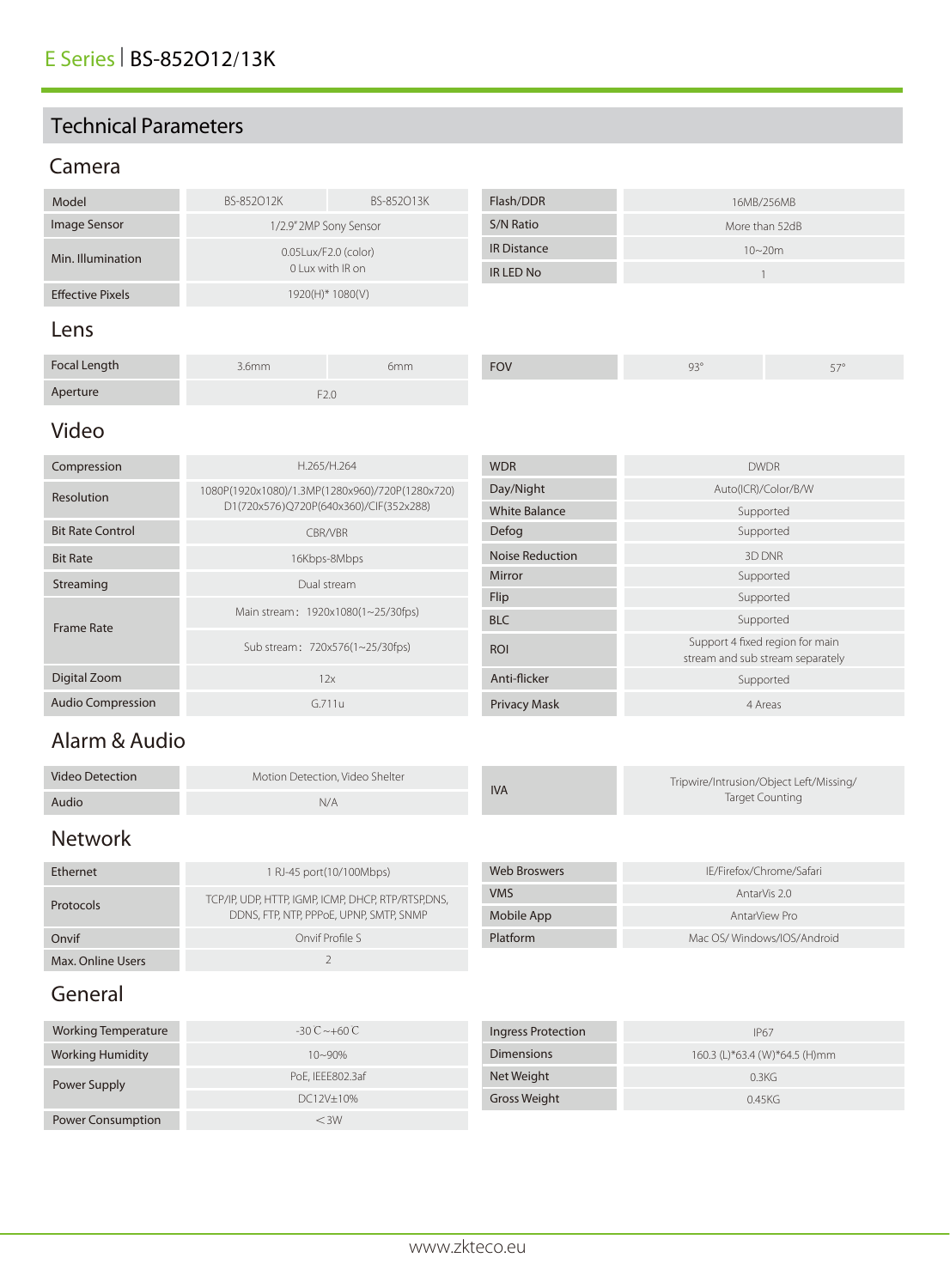### Technical Parameters

### Camera

| Model                   | BS-852012K                               | BS-852013K | Flash/DDR          | 16MB/256MB     |            |
|-------------------------|------------------------------------------|------------|--------------------|----------------|------------|
| Image Sensor            | 1/2.9" 2MP Sony Sensor                   |            | S/N Ratio          | More than 52dB |            |
| Min. Illumination       | 0.05Lux/F2.0 (color)<br>0 Lux with IR on |            | <b>IR Distance</b> |                | $10 - 20m$ |
|                         |                                          |            | IR LED No          |                |            |
| <b>Effective Pixels</b> | 1920(H)* 1080(V)                         |            |                    |                |            |
| Lens                    |                                          |            |                    |                |            |
| Focal Length            | 3.6 <sub>mm</sub>                        | 6mm        | <b>FOV</b>         | $93^\circ$     | $57^\circ$ |

F2.0

### Video

Aperture

| Compression              | H.265/H.264                                     | <b>WDR</b>             | <b>DWDR</b>                                                         |
|--------------------------|-------------------------------------------------|------------------------|---------------------------------------------------------------------|
| Resolution               | 1080P(1920x1080)/1.3MP(1280x960)/720P(1280x720) | Day/Night              | Auto(ICR)/Color/B/W                                                 |
|                          | D1(720x576)Q720P(640x360)/CIF(352x288)          | <b>White Balance</b>   | Supported                                                           |
| <b>Bit Rate Control</b>  | <b>CBR/VBR</b>                                  | Defog                  | Supported                                                           |
| <b>Bit Rate</b>          | 16Kbps-8Mbps                                    | <b>Noise Reduction</b> | 3D DNR                                                              |
| Streaming                | Dual stream                                     | Mirror                 | Supported                                                           |
| <b>Frame Rate</b>        |                                                 | Flip                   | Supported                                                           |
|                          | Main stream: 1920x1080(1~25/30fps)              | <b>BLC</b>             | Supported                                                           |
|                          | Sub stream: 720x576(1~25/30fps)                 | <b>ROI</b>             | Support 4 fixed region for main<br>stream and sub stream separately |
| Digital Zoom             | 12x                                             | Anti-flicker           | Supported                                                           |
| <b>Audio Compression</b> | G.711u                                          | <b>Privacy Mask</b>    | 4 Areas                                                             |

### Alarm & Audio

| <b>Video Detection</b> | Motion Detection. Video Shelter | <b>IVA</b> | Tripwire/Intrusion/Object Left/Missing/ |
|------------------------|---------------------------------|------------|-----------------------------------------|
| Audio                  | N/A                             |            | Target Counting                         |

## Network

| Ethernet          | 1 RJ-45 port(10/100Mbps)                                                                      | Web Broswers | IE/Firefox/Chrome/Safari   |
|-------------------|-----------------------------------------------------------------------------------------------|--------------|----------------------------|
| Protocols         | TCP/IP, UDP, HTTP, IGMP, ICMP, DHCP, RTP/RTSP,DNS,<br>DDNS, FTP, NTP, PPPoE, UPNP, SMTP, SNMP | <b>VMS</b>   | AntarVis 2.0               |
|                   |                                                                                               | Mobile App   | AntarView Pro              |
| Onvif             | Onvif Profile S                                                                               | Platform     | Mac OS/Windows/IOS/Android |
| Max. Online Users |                                                                                               |              |                            |

### General

| Working Temperature      | $-30^{\circ}$ C ~ +60 $\circ$ | Ingress Protection  | <b>IP67</b>                   |
|--------------------------|-------------------------------|---------------------|-------------------------------|
| <b>Working Humidity</b>  | $10 - 90\%$                   | <b>Dimensions</b>   | 160.3 (L)*63.4 (W)*64.5 (H)mm |
| Power Supply             | PoE, IEEE802.3af              | Net Weight          | 0.3KG                         |
|                          | DC12V±10%                     | <b>Gross Weight</b> | 0.45KG                        |
| <b>Power Consumption</b> | $<$ 3W                        |                     |                               |